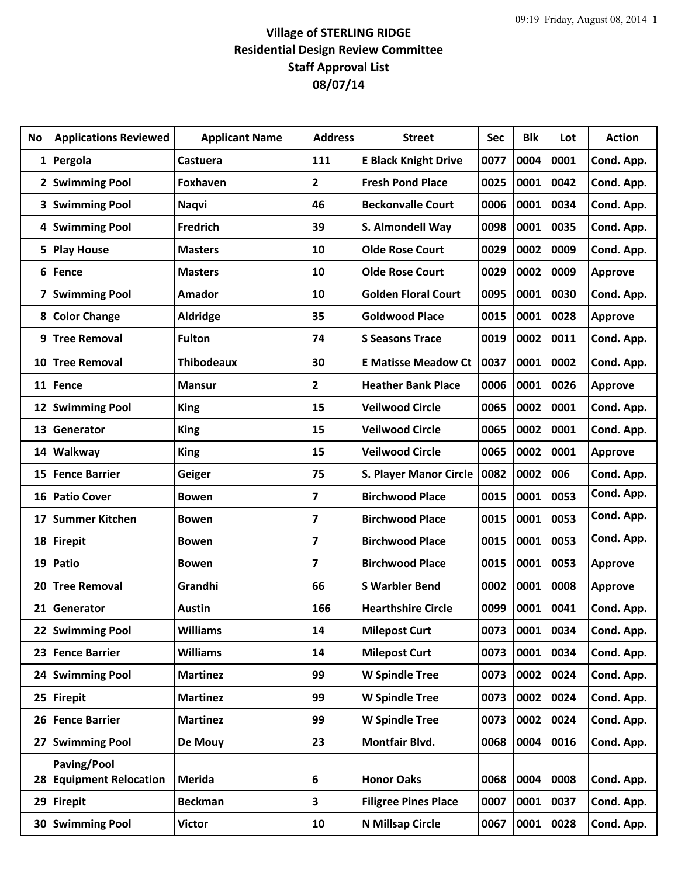## **Village of STERLING RIDGE Residential Design Review Committee Staff Approval List 08/07/14**

| No              | <b>Applications Reviewed</b>                      | <b>Applicant Name</b> | <b>Address</b> | <b>Street</b>                 | <b>Sec</b> | <b>Blk</b> | Lot  | <b>Action</b>  |
|-----------------|---------------------------------------------------|-----------------------|----------------|-------------------------------|------------|------------|------|----------------|
| 1               | Pergola                                           | Castuera              | 111            | <b>E Black Knight Drive</b>   | 0077       | 0004       | 0001 | Cond. App.     |
| $\overline{2}$  | <b>Swimming Pool</b>                              | Foxhaven              | 2              | <b>Fresh Pond Place</b>       | 0025       | 0001       | 0042 | Cond. App.     |
| 3               | <b>Swimming Pool</b>                              | <b>Naqvi</b>          | 46             | <b>Beckonvalle Court</b>      | 0006       | 0001       | 0034 | Cond. App.     |
| 4               | <b>Swimming Pool</b>                              | <b>Fredrich</b>       | 39             | S. Almondell Way              | 0098       | 0001       | 0035 | Cond. App.     |
| 5               | <b>Play House</b>                                 | <b>Masters</b>        | 10             | <b>Olde Rose Court</b>        | 0029       | 0002       | 0009 | Cond. App.     |
| 6               | <b>Fence</b>                                      | <b>Masters</b>        | 10             | <b>Olde Rose Court</b>        | 0029       | 0002       | 0009 | <b>Approve</b> |
| 7               | <b>Swimming Pool</b>                              | <b>Amador</b>         | 10             | <b>Golden Floral Court</b>    | 0095       | 0001       | 0030 | Cond. App.     |
| 8               | <b>Color Change</b>                               | Aldridge              | 35             | <b>Goldwood Place</b>         | 0015       | 0001       | 0028 | <b>Approve</b> |
| 9               | <b>Tree Removal</b>                               | <b>Fulton</b>         | 74             | <b>S Seasons Trace</b>        | 0019       | 0002       | 0011 | Cond. App.     |
| 10              | <b>Tree Removal</b>                               | <b>Thibodeaux</b>     | 30             | <b>E Matisse Meadow Ct</b>    | 0037       | 0001       | 0002 | Cond. App.     |
| 11              | <b>Fence</b>                                      | <b>Mansur</b>         | 2              | <b>Heather Bank Place</b>     | 0006       | 0001       | 0026 | <b>Approve</b> |
| 12              | <b>Swimming Pool</b>                              | <b>King</b>           | 15             | <b>Veilwood Circle</b>        | 0065       | 0002       | 0001 | Cond. App.     |
| 13              | Generator                                         | <b>King</b>           | 15             | <b>Veilwood Circle</b>        | 0065       | 0002       | 0001 | Cond. App.     |
| 14              | Walkway                                           | <b>King</b>           | 15             | <b>Veilwood Circle</b>        | 0065       | 0002       | 0001 | <b>Approve</b> |
| 15              | <b>Fence Barrier</b>                              | Geiger                | 75             | <b>S. Player Manor Circle</b> | 0082       | 0002       | 006  | Cond. App.     |
| 16              | <b>Patio Cover</b>                                | <b>Bowen</b>          | 7              | <b>Birchwood Place</b>        | 0015       | 0001       | 0053 | Cond. App.     |
| 17              | <b>Summer Kitchen</b>                             | <b>Bowen</b>          | 7              | <b>Birchwood Place</b>        | 0015       | 0001       | 0053 | Cond. App.     |
| 18              | <b>Firepit</b>                                    | <b>Bowen</b>          | 7              | <b>Birchwood Place</b>        | 0015       | 0001       | 0053 | Cond. App.     |
| 19              | Patio                                             | <b>Bowen</b>          | 7              | <b>Birchwood Place</b>        | 0015       | 0001       | 0053 | <b>Approve</b> |
| 20              | <b>Tree Removal</b>                               | Grandhi               | 66             | <b>S Warbler Bend</b>         | 0002       | 0001       | 0008 | <b>Approve</b> |
| 21              | Generator                                         | <b>Austin</b>         | 166            | <b>Hearthshire Circle</b>     | 0099       | 0001       | 0041 | Cond. App.     |
| 22              | <b>Swimming Pool</b>                              | <b>Williams</b>       | 14             | <b>Milepost Curt</b>          | 0073       | 0001       | 0034 | Cond. App.     |
| 23              | <b>Fence Barrier</b>                              | <b>Williams</b>       | 14             | <b>Milepost Curt</b>          | 0073       | 0001       | 0034 | Cond. App.     |
| 24              | <b>Swimming Pool</b>                              | <b>Martinez</b>       | 99             | <b>W Spindle Tree</b>         | 0073       | 0002       | 0024 | Cond. App.     |
| 25              | <b>Firepit</b>                                    | <b>Martinez</b>       | 99             | <b>W Spindle Tree</b>         | 0073       | 0002       | 0024 | Cond. App.     |
| 26              | <b>Fence Barrier</b>                              | <b>Martinez</b>       | 99             | <b>W Spindle Tree</b>         | 0073       | 0002       | 0024 | Cond. App.     |
| 27              | <b>Swimming Pool</b>                              | De Mouy               | 23             | Montfair Blvd.                | 0068       | 0004       | 0016 | Cond. App.     |
| 28              | <b>Paving/Pool</b><br><b>Equipment Relocation</b> | Merida                | 6              | <b>Honor Oaks</b>             | 0068       | 0004       | 0008 | Cond. App.     |
| 29              | <b>Firepit</b>                                    | <b>Beckman</b>        | 3              | <b>Filigree Pines Place</b>   | 0007       | 0001       | 0037 | Cond. App.     |
| 30 <sub>1</sub> | <b>Swimming Pool</b>                              | <b>Victor</b>         | 10             | N Millsap Circle              | 0067       | 0001       | 0028 | Cond. App.     |